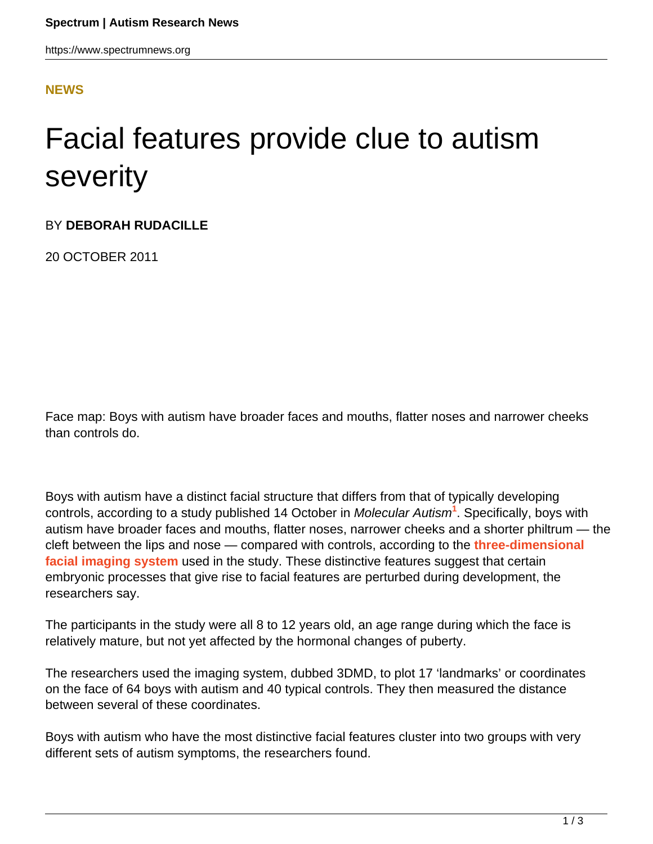## **[NEWS](HTTPS://WWW.SPECTRUMNEWS.ORG/NEWS/)**

## Facial features provide clue to autism severity

BY **DEBORAH RUDACILLE**

20 OCTOBER 2011

Face map: Boys with autism have broader faces and mouths, flatter noses and narrower cheeks than controls do.

Boys with autism have a distinct facial structure that differs from that of typically developing controls, according to a study published 14 October in Molecular Autism**<sup>1</sup>** . Specifically, boys with autism have broader faces and mouths, flatter noses, narrower cheeks and a shorter philtrum — the cleft between the lips and nose — compared with controls, according to the **[three-dimensional](http://www.3dmd.com/) [facial imaging system](http://www.3dmd.com/)** used in the study. These distinctive features suggest that certain embryonic processes that give rise to facial features are perturbed during development, the researchers say.

The participants in the study were all 8 to 12 years old, an age range during which the face is relatively mature, but not yet affected by the hormonal changes of puberty.

The researchers used the imaging system, dubbed 3DMD, to plot 17 'landmarks' or coordinates on the face of 64 boys with autism and 40 typical controls. They then measured the distance between several of these coordinates.

Boys with autism who have the most distinctive facial features cluster into two groups with very different sets of autism symptoms, the researchers found.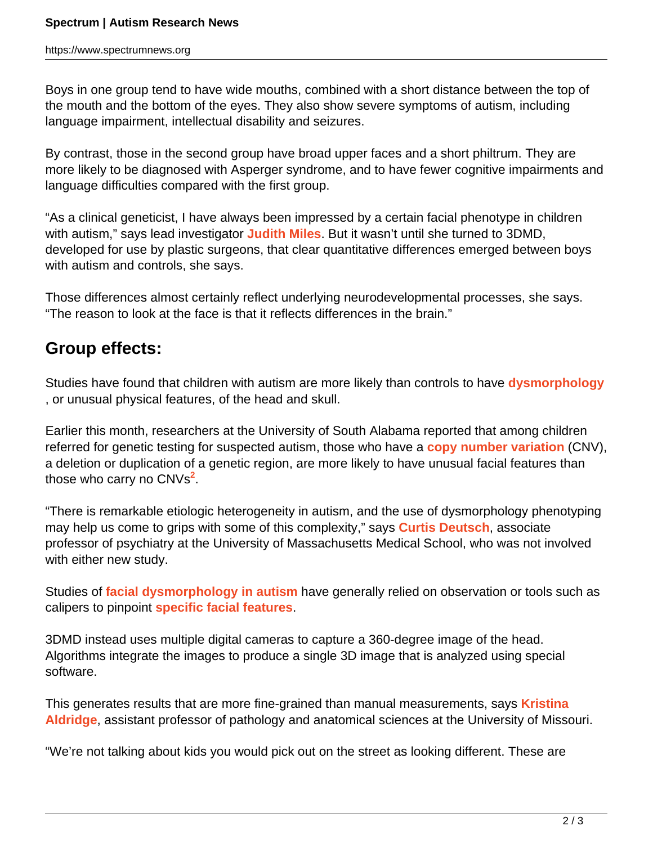Boys in one group tend to have wide mouths, combined with a short distance between the top of the mouth and the bottom of the eyes. They also show severe symptoms of autism, including language impairment, intellectual disability and seizures.

By contrast, those in the second group have broad upper faces and a short philtrum. They are more likely to be diagnosed with Asperger syndrome, and to have fewer cognitive impairments and language difficulties compared with the first group.

"As a clinical geneticist, I have always been impressed by a certain facial phenotype in children with autism," says lead investigator **[Judith Miles](/author/?author=https%3A%2F%2Fid.simonsfoundation.org%2Fjudithmiles)**. But it wasn't until she turned to 3DMD, developed for use by plastic surgeons, that clear quantitative differences emerged between boys with autism and controls, she says.

Those differences almost certainly reflect underlying neurodevelopmental processes, she says. "The reason to look at the face is that it reflects differences in the brain."

## **Group effects:**

Studies have found that children with autism are more likely than controls to have **[dysmorphology](https://www.spectrumnews.org/wiki/dysmorphology)** , or unusual physical features, of the head and skull.

Earlier this month, researchers at the University of South Alabama reported that among children referred for genetic testing for suspected autism, those who have a **[copy number variation](https://www.spectrumnews.org/wiki/copy-number-variation)** (CNV), a deletion or duplication of a genetic region, are more likely to have unusual facial features than those who carry no CNVs**<sup>2</sup>** .

"There is remarkable etiologic heterogeneity in autism, and the use of dysmorphology phenotyping may help us come to grips with some of this complexity," says **[Curtis Deutsch](/author/?author=https%3A%2F%2Fid.simonsfoundation.org%2Fcurtisdeutsch)**, associate professor of psychiatry at the University of Massachusetts Medical School, who was not involved with either new study.

Studies of **[facial dysmorphology in autism](https://www.spectrumnews.org/viewpoint/2011/dysmorphology-as-biomarker-for-the-study-of-autism)** have generally relied on observation or tools such as calipers to pinpoint **[specific facial features](https://www.spectrumnews.org/in-brief/2011/clinical-research-photographs-reveal-unusual-physical-features)**.

3DMD instead uses multiple digital cameras to capture a 360-degree image of the head. Algorithms integrate the images to produce a single 3D image that is analyzed using special software.

This generates results that are more fine-grained than manual measurements, says **[Kristina](http://web.missouri.edu/~aldridgek/) [Aldridge](http://web.missouri.edu/~aldridgek/)**, assistant professor of pathology and anatomical sciences at the University of Missouri.

"We're not talking about kids you would pick out on the street as looking different. These are